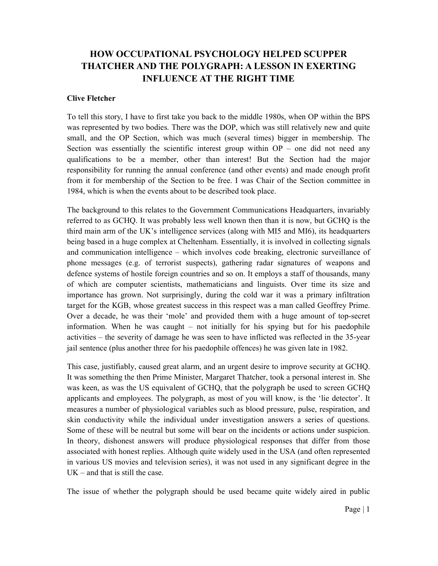## HOW OCCUPATIONAL PSYCHOLOGY HELPED SCUPPER THATCHER AND THE POLYGRAPH: A LESSON IN EXERTING INFLUENCE AT THE RIGHT TIME

## Clive Fletcher

To tell this story, I have to first take you back to the middle 1980s, when OP within the BPS was represented by two bodies. There was the DOP, which was still relatively new and quite small, and the OP Section, which was much (several times) bigger in membership. The Section was essentially the scientific interest group within  $OP -$  one did not need any qualifications to be a member, other than interest! But the Section had the major responsibility for running the annual conference (and other events) and made enough profit from it for membership of the Section to be free. I was Chair of the Section committee in 1984, which is when the events about to be described took place.

The background to this relates to the Government Communications Headquarters, invariably referred to as GCHQ. It was probably less well known then than it is now, but GCHQ is the third main arm of the UK's intelligence services (along with MI5 and MI6), its headquarters being based in a huge complex at Cheltenham. Essentially, it is involved in collecting signals and communication intelligence – which involves code breaking, electronic surveillance of phone messages (e.g. of terrorist suspects), gathering radar signatures of weapons and defence systems of hostile foreign countries and so on. It employs a staff of thousands, many of which are computer scientists, mathematicians and linguists. Over time its size and importance has grown. Not surprisingly, during the cold war it was a primary infiltration target for the KGB, whose greatest success in this respect was a man called Geoffrey Prime. Over a decade, he was their 'mole' and provided them with a huge amount of top-secret information. When he was caught – not initially for his spying but for his paedophile activities – the severity of damage he was seen to have inflicted was reflected in the 35-year jail sentence (plus another three for his paedophile offences) he was given late in 1982.

This case, justifiably, caused great alarm, and an urgent desire to improve security at GCHQ. It was something the then Prime Minister, Margaret Thatcher, took a personal interest in. She was keen, as was the US equivalent of GCHQ, that the polygraph be used to screen GCHQ applicants and employees. The polygraph, as most of you will know, is the 'lie detector'. It measures a number of physiological variables such as blood pressure, pulse, respiration, and skin conductivity while the individual under investigation answers a series of questions. Some of these will be neutral but some will bear on the incidents or actions under suspicion. In theory, dishonest answers will produce physiological responses that differ from those associated with honest replies. Although quite widely used in the USA (and often represented in various US movies and television series), it was not used in any significant degree in the  $UK - and that is still the case.$ 

The issue of whether the polygraph should be used became quite widely aired in public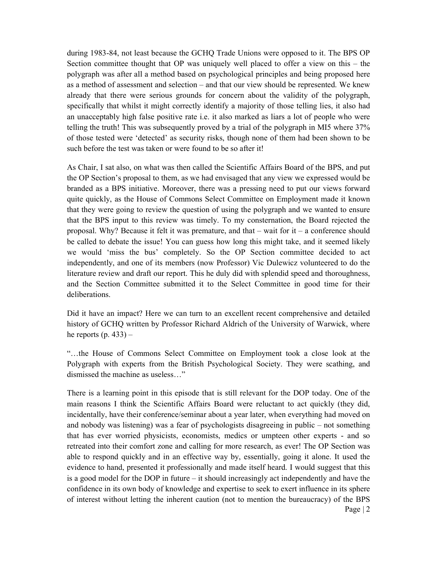during 1983-84, not least because the GCHQ Trade Unions were opposed to it. The BPS OP Section committee thought that OP was uniquely well placed to offer a view on this – the polygraph was after all a method based on psychological principles and being proposed here as a method of assessment and selection – and that our view should be represented. We knew already that there were serious grounds for concern about the validity of the polygraph, specifically that whilst it might correctly identify a majority of those telling lies, it also had an unacceptably high false positive rate i.e. it also marked as liars a lot of people who were telling the truth! This was subsequently proved by a trial of the polygraph in MI5 where 37% of those tested were 'detected' as security risks, though none of them had been shown to be such before the test was taken or were found to be so after it!

As Chair, I sat also, on what was then called the Scientific Affairs Board of the BPS, and put the OP Section's proposal to them, as we had envisaged that any view we expressed would be branded as a BPS initiative. Moreover, there was a pressing need to put our views forward quite quickly, as the House of Commons Select Committee on Employment made it known that they were going to review the question of using the polygraph and we wanted to ensure that the BPS input to this review was timely. To my consternation, the Board rejected the proposal. Why? Because it felt it was premature, and that  $-$  wait for it  $-$  a conference should be called to debate the issue! You can guess how long this might take, and it seemed likely we would 'miss the bus' completely. So the OP Section committee decided to act independently, and one of its members (now Professor) Vic Dulewicz volunteered to do the literature review and draft our report. This he duly did with splendid speed and thoroughness, and the Section Committee submitted it to the Select Committee in good time for their deliberations.

Did it have an impact? Here we can turn to an excellent recent comprehensive and detailed history of GCHQ written by Professor Richard Aldrich of the University of Warwick, where he reports  $(p. 433)$  –

"…the House of Commons Select Committee on Employment took a close look at the Polygraph with experts from the British Psychological Society. They were scathing, and dismissed the machine as useless…"

Page | 2 There is a learning point in this episode that is still relevant for the DOP today. One of the main reasons I think the Scientific Affairs Board were reluctant to act quickly (they did, incidentally, have their conference/seminar about a year later, when everything had moved on and nobody was listening) was a fear of psychologists disagreeing in public – not something that has ever worried physicists, economists, medics or umpteen other experts - and so retreated into their comfort zone and calling for more research, as ever! The OP Section was able to respond quickly and in an effective way by, essentially, going it alone. It used the evidence to hand, presented it professionally and made itself heard. I would suggest that this is a good model for the DOP in future – it should increasingly act independently and have the confidence in its own body of knowledge and expertise to seek to exert influence in its sphere of interest without letting the inherent caution (not to mention the bureaucracy) of the BPS